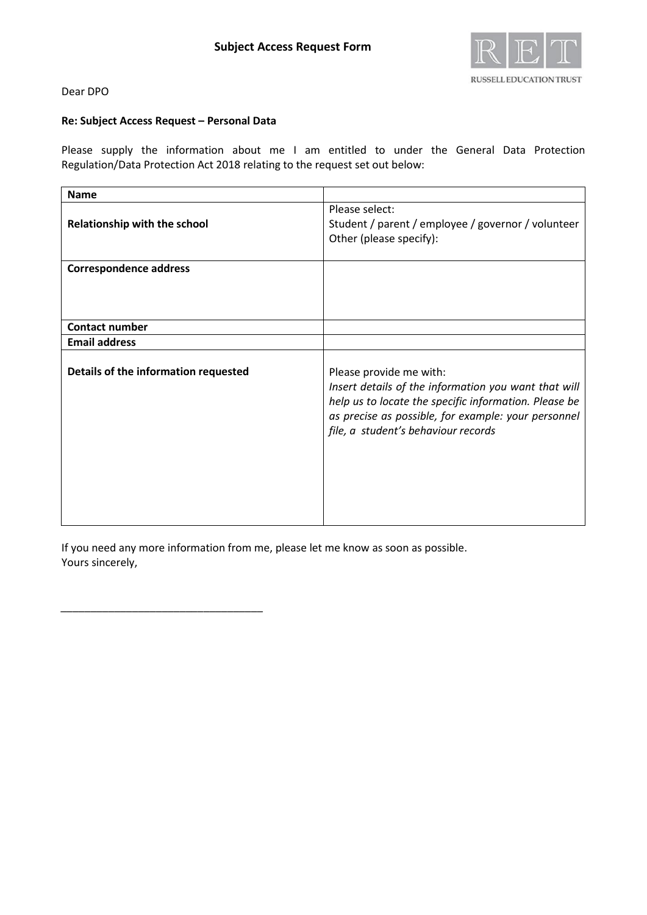

# Dear DPO

# **Re: Subject Access Request – Personal Data**

*\_\_\_\_\_\_\_\_\_\_\_\_\_\_\_\_\_\_\_\_\_\_\_\_\_\_\_\_\_\_\_\_\_\_*

Please supply the information about me I am entitled to under the General Data Protection Regulation/Data Protection Act 2018 relating to the request set out below:

| <b>Name</b>                          |                                                                                                                                                                                                                                        |
|--------------------------------------|----------------------------------------------------------------------------------------------------------------------------------------------------------------------------------------------------------------------------------------|
| Relationship with the school         | Please select:<br>Student / parent / employee / governor / volunteer<br>Other (please specify):                                                                                                                                        |
| <b>Correspondence address</b>        |                                                                                                                                                                                                                                        |
| <b>Contact number</b>                |                                                                                                                                                                                                                                        |
| <b>Email address</b>                 |                                                                                                                                                                                                                                        |
| Details of the information requested | Please provide me with:<br>Insert details of the information you want that will<br>help us to locate the specific information. Please be<br>as precise as possible, for example: your personnel<br>file, a student's behaviour records |

If you need any more information from me, please let me know as soon as possible. Yours sincerely,